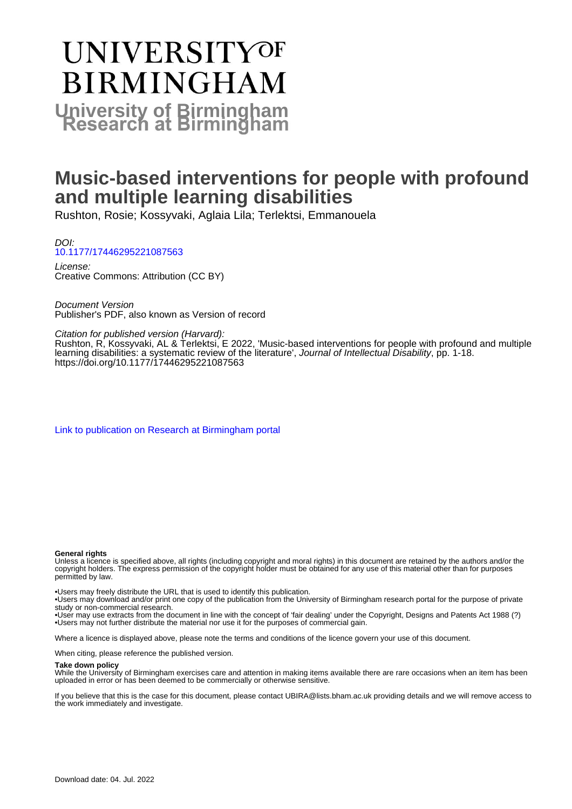# **UNIVERSITYOF BIRMINGHAM University of Birmingham**

# **Music-based interventions for people with profound and multiple learning disabilities**

Rushton, Rosie; Kossyvaki, Aglaia Lila; Terlektsi, Emmanouela

DOI: [10.1177/17446295221087563](https://doi.org/10.1177/17446295221087563)

License: Creative Commons: Attribution (CC BY)

Document Version Publisher's PDF, also known as Version of record

Citation for published version (Harvard):

Rushton, R, Kossyvaki, AL & Terlektsi, E 2022, 'Music-based interventions for people with profound and multiple learning disabilities: a systematic review of the literature', Journal of Intellectual Disability, pp. 1-18. <https://doi.org/10.1177/17446295221087563>

[Link to publication on Research at Birmingham portal](https://birmingham.elsevierpure.com/en/publications/07a26234-19aa-4d38-98bd-98c552ce727e)

#### **General rights**

Unless a licence is specified above, all rights (including copyright and moral rights) in this document are retained by the authors and/or the copyright holders. The express permission of the copyright holder must be obtained for any use of this material other than for purposes permitted by law.

• Users may freely distribute the URL that is used to identify this publication.

• Users may download and/or print one copy of the publication from the University of Birmingham research portal for the purpose of private study or non-commercial research.

• User may use extracts from the document in line with the concept of 'fair dealing' under the Copyright, Designs and Patents Act 1988 (?) • Users may not further distribute the material nor use it for the purposes of commercial gain.

Where a licence is displayed above, please note the terms and conditions of the licence govern your use of this document.

When citing, please reference the published version.

#### **Take down policy**

While the University of Birmingham exercises care and attention in making items available there are rare occasions when an item has been uploaded in error or has been deemed to be commercially or otherwise sensitive.

If you believe that this is the case for this document, please contact UBIRA@lists.bham.ac.uk providing details and we will remove access to the work immediately and investigate.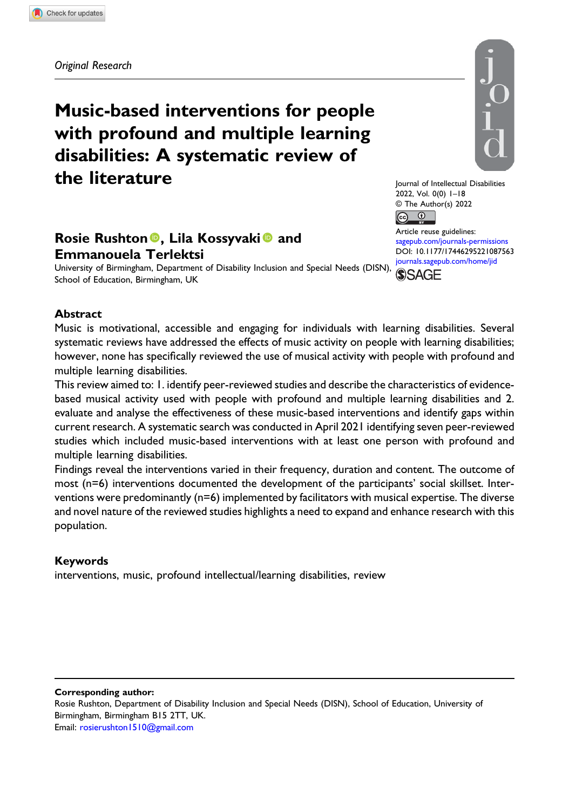Original Research

# Music-based interventions for people with profound and multiple learning disabilities: A systematic review of the literature

# Rosie Rushton<sup>®</sup>, Lila Kossyvaki<sup>®</sup> and Emmanouela Terlektsi

University of Birmingham, Department of Disability Inclusion and Special Needs (DISN), School of Education, Birmingham, UK



Journal of Intellectual Disabilities 2022, Vol. 0(0) 1–18 © The Author(s) 2022  $\boxed{6}$   $\boxed{0}$ Article reuse guidelines:

[sagepub.com/journals-permissions](https://uk.sagepub.com/en-gb/journals-permissions) DOI: [10.1177/17446295221087563](https://doi.org/10.1177/17446295221087563) [journals.sagepub.com/home/jid](https://journals.sagepub.com/home/jid) **SSAGE** 

#### Abstract

Music is motivational, accessible and engaging for individuals with learning disabilities. Several systematic reviews have addressed the effects of music activity on people with learning disabilities; however, none has specifically reviewed the use of musical activity with people with profound and multiple learning disabilities.

This review aimed to: 1. identify peer-reviewed studies and describe the characteristics of evidencebased musical activity used with people with profound and multiple learning disabilities and 2. evaluate and analyse the effectiveness of these music-based interventions and identify gaps within current research. A systematic search was conducted in April 2021 identifying seven peer-reviewed studies which included music-based interventions with at least one person with profound and multiple learning disabilities.

Findings reveal the interventions varied in their frequency, duration and content. The outcome of most (n=6) interventions documented the development of the participants' social skillset. Interventions were predominantly (n=6) implemented by facilitators with musical expertise. The diverse and novel nature of the reviewed studies highlights a need to expand and enhance research with this population.

#### Keywords

interventions, music, profound intellectual/learning disabilities, review

#### Corresponding author:

Rosie Rushton, Department of Disability Inclusion and Special Needs (DISN), School of Education, University of Birmingham, Birmingham B15 2TT, UK. Email: [rosierushton1510@gmail.com](mailto:rosierushton1510@gmail.com)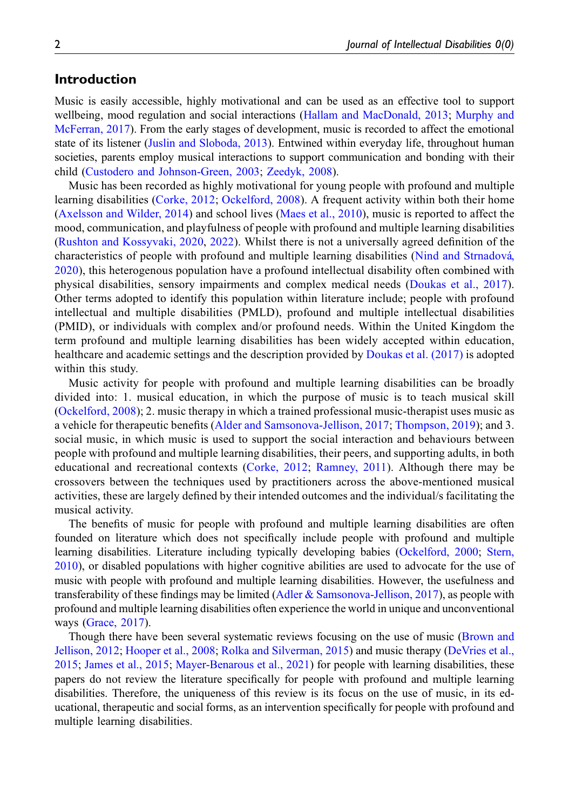# Introduction

Music is easily accessible, highly motivational and can be used as an effective tool to support wellbeing, mood regulation and social interactions [\(Hallam and MacDonald, 2013;](#page-16-0) [Murphy and](#page-17-0) [McFerran, 2017](#page-17-0)). From the early stages of development, music is recorded to affect the emotional state of its listener ([Juslin and Sloboda, 2013\)](#page-16-1). Entwined within everyday life, throughout human societies, parents employ musical interactions to support communication and bonding with their child [\(Custodero and Johnson-Green, 2003](#page-16-2); [Zeedyk, 2008\)](#page-18-0).

Music has been recorded as highly motivational for young people with profound and multiple learning disabilities ([Corke, 2012](#page-16-3); [Ockelford, 2008\)](#page-17-1). A frequent activity within both their home [\(Axelsson and Wilder, 2014\)](#page-15-0) and school lives [\(Maes et al., 2010\)](#page-16-4), music is reported to affect the mood, communication, and playfulness of people with profound and multiple learning disabilities [\(Rushton and Kossyvaki, 2020](#page-17-2), [2022](#page-17-3)). Whilst there is not a universally agreed definition of the characteristics of people with profound and multiple learning disabilities ([Nind and Strnadova,](#page-17-4)´ [2020\)](#page-17-4), this heterogenous population have a profound intellectual disability often combined with physical disabilities, sensory impairments and complex medical needs ([Doukas et al., 2017\)](#page-16-5). Other terms adopted to identify this population within literature include; people with profound intellectual and multiple disabilities (PMLD), profound and multiple intellectual disabilities (PMID), or individuals with complex and/or profound needs. Within the United Kingdom the term profound and multiple learning disabilities has been widely accepted within education, healthcare and academic settings and the description provided by [Doukas et al. \(2017\)](#page-16-5) is adopted within this study.

Music activity for people with profound and multiple learning disabilities can be broadly divided into: 1. musical education, in which the purpose of music is to teach musical skill [\(Ockelford, 2008](#page-17-1)); 2. music therapy in which a trained professional music-therapist uses music as a vehicle for therapeutic benefits ([Alder and Samsonova-Jellison, 2017;](#page-15-1) [Thompson, 2019](#page-17-5)); and 3. social music, in which music is used to support the social interaction and behaviours between people with profound and multiple learning disabilities, their peers, and supporting adults, in both educational and recreational contexts ([Corke, 2012;](#page-16-3) [Ramney, 2011\)](#page-17-6). Although there may be crossovers between the techniques used by practitioners across the above-mentioned musical activities, these are largely defined by their intended outcomes and the individual/s facilitating the musical activity.

The benefits of music for people with profound and multiple learning disabilities are often founded on literature which does not specifically include people with profound and multiple learning disabilities. Literature including typically developing babies [\(Ockelford, 2000](#page-17-7); [Stern,](#page-17-8) [2010](#page-17-8)), or disabled populations with higher cognitive abilities are used to advocate for the use of music with people with profound and multiple learning disabilities. However, the usefulness and transferability of these findings may be limited ([Adler & Samsonova-Jellison, 2017\)](#page-15-1), as people with profound and multiple learning disabilities often experience the world in unique and unconventional ways [\(Grace, 2017](#page-16-6)).

Though there have been several systematic reviews focusing on the use of music [\(Brown and](#page-16-7) [Jellison, 2012](#page-16-7); [Hooper et al., 2008](#page-16-8); [Rolka and Silverman, 2015\)](#page-17-9) and music therapy [\(DeVries et al.,](#page-16-9) [2015](#page-16-9); [James et al., 2015](#page-16-10); [Mayer-Benarous et al., 2021\)](#page-16-11) for people with learning disabilities, these papers do not review the literature specifically for people with profound and multiple learning disabilities. Therefore, the uniqueness of this review is its focus on the use of music, in its educational, therapeutic and social forms, as an intervention specifically for people with profound and multiple learning disabilities.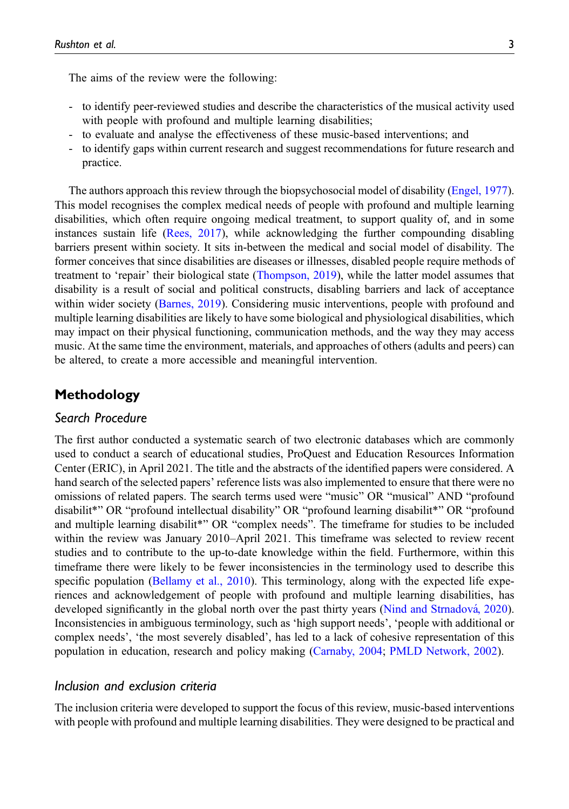The aims of the review were the following:

- to identify peer-reviewed studies and describe the characteristics of the musical activity used with people with profound and multiple learning disabilities;
- to evaluate and analyse the effectiveness of these music-based interventions; and
- to identify gaps within current research and suggest recommendations for future research and practice.

The authors approach this review through the biopsychosocial model of disability [\(Engel, 1977](#page-16-12)). This model recognises the complex medical needs of people with profound and multiple learning disabilities, which often require ongoing medical treatment, to support quality of, and in some instances sustain life [\(Rees, 2017\)](#page-17-10), while acknowledging the further compounding disabling barriers present within society. It sits in-between the medical and social model of disability. The former conceives that since disabilities are diseases or illnesses, disabled people require methods of treatment to 'repair' their biological state [\(Thompson, 2019](#page-17-5)), while the latter model assumes that disability is a result of social and political constructs, disabling barriers and lack of acceptance within wider society [\(Barnes, 2019](#page-15-2)). Considering music interventions, people with profound and multiple learning disabilities are likely to have some biological and physiological disabilities, which may impact on their physical functioning, communication methods, and the way they may access music. At the same time the environment, materials, and approaches of others (adults and peers) can be altered, to create a more accessible and meaningful intervention.

# Methodology

# Search Procedure

The first author conducted a systematic search of two electronic databases which are commonly used to conduct a search of educational studies, ProQuest and Education Resources Information Center (ERIC), in April 2021. The title and the abstracts of the identified papers were considered. A hand search of the selected papers' reference lists was also implemented to ensure that there were no omissions of related papers. The search terms used were "music" OR "musical" AND "profound disabilit\*" OR "profound intellectual disability" OR "profound learning disabilit\*" OR "profound and multiple learning disabilit\*" OR "complex needs". The timeframe for studies to be included within the review was January 2010–April 2021. This timeframe was selected to review recent studies and to contribute to the up-to-date knowledge within the field. Furthermore, within this timeframe there were likely to be fewer inconsistencies in the terminology used to describe this specific population [\(Bellamy et al., 2010](#page-15-3)). This terminology, along with the expected life experiences and acknowledgement of people with profound and multiple learning disabilities, has developed significantly in the global north over the past thirty years (Nind and Strnadová, 2020). Inconsistencies in ambiguous terminology, such as 'high support needs', 'people with additional or complex needs', 'the most severely disabled', has led to a lack of cohesive representation of this population in education, research and policy making [\(Carnaby, 2004](#page-16-13); [PMLD Network, 2002](#page-17-11)).

# Inclusion and exclusion criteria

The inclusion criteria were developed to support the focus of this review, music-based interventions with people with profound and multiple learning disabilities. They were designed to be practical and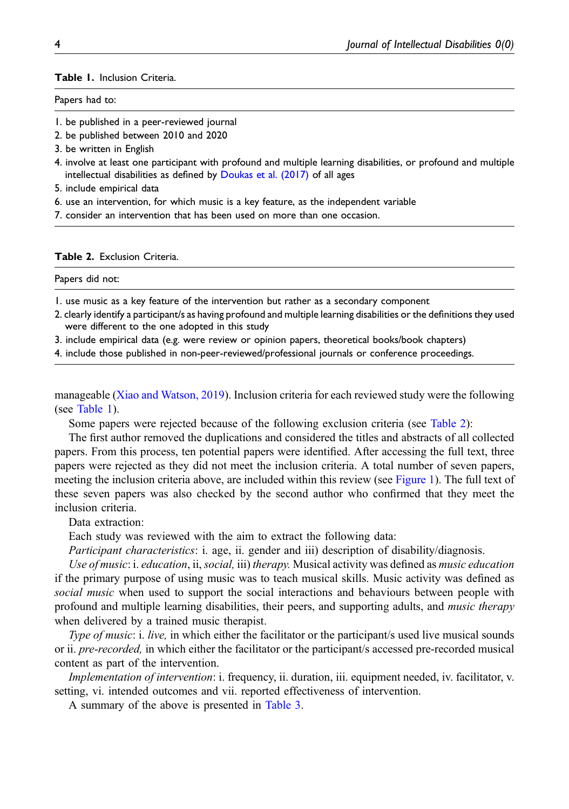#### <span id="page-4-0"></span>Table 1. Inclusion Criteria.

#### Papers had to:

- 1. be published in a peer-reviewed journal
- 2. be published between 2010 and 2020
- 3. be written in English
- 4. involve at least one participant with profound and multiple learning disabilities, or profound and multiple intellectual disabilities as defined by [Doukas et al. \(2017\)](#page-16-5) of all ages
- 5. include empirical data
- 6. use an intervention, for which music is a key feature, as the independent variable
- 7. consider an intervention that has been used on more than one occasion.

#### <span id="page-4-1"></span>Table 2. Exclusion Criteria.

# Papers did not:

- 1. use music as a key feature of the intervention but rather as a secondary component
- 2. clearly identify a participant/s as having profound and multiple learning disabilities or the definitions they used were different to the one adopted in this study
- 3. include empirical data (e.g. were review or opinion papers, theoretical books/book chapters)
- 4. include those published in non-peer-reviewed/professional journals or conference proceedings.

manageable ([Xiao and Watson, 2019](#page-18-1)). Inclusion criteria for each reviewed study were the following (see [Table 1](#page-4-0)).

Some papers were rejected because of the following exclusion criteria (see [Table 2\)](#page-4-1):

The first author removed the duplications and considered the titles and abstracts of all collected papers. From this process, ten potential papers were identified. After accessing the full text, three papers were rejected as they did not meet the inclusion criteria. A total number of seven papers, meeting the inclusion criteria above, are included within this review (see [Figure 1](#page-5-0)). The full text of these seven papers was also checked by the second author who confirmed that they meet the inclusion criteria.

Data extraction:

Each study was reviewed with the aim to extract the following data:

Participant characteristics: i. age, ii. gender and iii) description of disability/diagnosis.

Use of music: i. education, ii, social, iii) therapy. Musical activity was defined as music education if the primary purpose of using music was to teach musical skills. Music activity was defined as social music when used to support the social interactions and behaviours between people with profound and multiple learning disabilities, their peers, and supporting adults, and music therapy when delivered by a trained music therapist.

Type of music: i. live, in which either the facilitator or the participant/s used live musical sounds or ii. *pre-recorded*, in which either the facilitator or the participant/s accessed pre-recorded musical content as part of the intervention.

Implementation of intervention: i. frequency, ii. duration, iii. equipment needed, iv. facilitator, v. setting, vi. intended outcomes and vii. reported effectiveness of intervention.

A summary of the above is presented in [Table 3.](#page-6-0)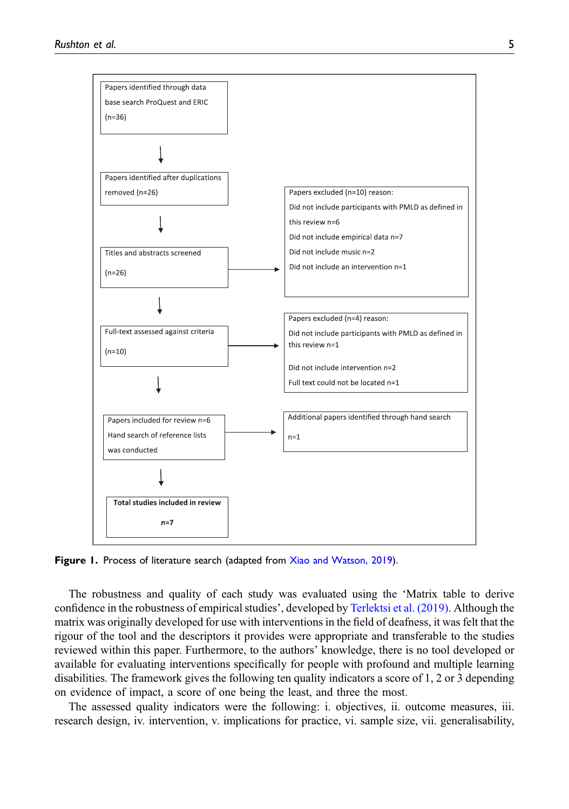

<span id="page-5-0"></span>Figure 1. Process of literature search (adapted from [Xiao and Watson, 2019](#page-18-1)).

The robustness and quality of each study was evaluated using the 'Matrix table to derive confidence in the robustness of empirical studies', developed by [Terlektsi et al. \(2019\).](#page-17-12) Although the matrix was originally developed for use with interventions in the field of deafness, it was felt that the rigour of the tool and the descriptors it provides were appropriate and transferable to the studies reviewed within this paper. Furthermore, to the authors' knowledge, there is no tool developed or available for evaluating interventions specifically for people with profound and multiple learning disabilities. The framework gives the following ten quality indicators a score of 1, 2 or 3 depending on evidence of impact, a score of one being the least, and three the most.

The assessed quality indicators were the following: i. objectives, ii. outcome measures, iii. research design, iv. intervention, v. implications for practice, vi. sample size, vii. generalisability,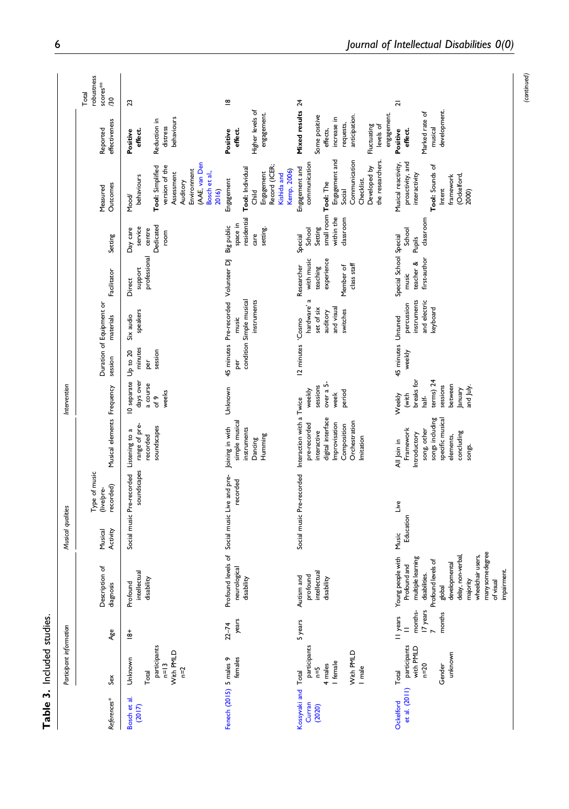<span id="page-6-0"></span>

|                                        | Participant information                                             |                                                  |                                                                                                                                                                                                                               | Musical qualities   |                                          |                                                                                                                                                                      | Intervention                                                                                       |                              |                                                                                          |                                                                                |                                                                                 |                                                                                                                                               |                                                                                                                                       |                                        |
|----------------------------------------|---------------------------------------------------------------------|--------------------------------------------------|-------------------------------------------------------------------------------------------------------------------------------------------------------------------------------------------------------------------------------|---------------------|------------------------------------------|----------------------------------------------------------------------------------------------------------------------------------------------------------------------|----------------------------------------------------------------------------------------------------|------------------------------|------------------------------------------------------------------------------------------|--------------------------------------------------------------------------------|---------------------------------------------------------------------------------|-----------------------------------------------------------------------------------------------------------------------------------------------|---------------------------------------------------------------------------------------------------------------------------------------|----------------------------------------|
| References*                            | Sex                                                                 | Age                                              | Description of<br>diagnosis                                                                                                                                                                                                   | Activity<br>Musical | Type of music<br>recorded)<br>(live/pre- | Musical elements Frequency                                                                                                                                           |                                                                                                    | session                      | Duration of Equipment or<br>materials                                                    | Facilitator                                                                    | Setting                                                                         | Outcomes<br>Measured                                                                                                                          | effectiveness<br>Reported                                                                                                             | robustness<br>scores***<br>Total<br>30 |
| Bosch et al.<br>(2017)                 | participants<br>$n=13$<br>With PMLD<br>Unknown<br>$n = 2$<br>Total  | $\frac{1}{8}$                                    | Profound<br>intellectual<br>disability                                                                                                                                                                                        |                     | soundscapes<br>Social music Pre-recorded | range of pre-<br>soundscapes<br>Listening to a<br>recorded                                                                                                           | 10 separate Up to 20<br>days over<br>a course<br>weeks<br>of 9                                     | minutes<br>session<br>per    | speakers<br>Six audio                                                                    | professional<br>support<br>Direct                                              | Dedicated<br>service<br>Day care<br>centre<br>room                              | (AAE, van Den<br>Tool: Simplified<br>version of the<br>Environment<br>Bosch et al.,<br>Assessment<br>behaviours<br>Auditory<br>2016)<br>Mood/ | behaviours<br>Reduction in<br>distress<br>effect.<br>Positive                                                                         | 23                                     |
| Fenech (2015) 5 males 9                | females                                                             | years<br>$22 - 74$                               | Profound levels of Social music Live and pre-<br>neurological<br>disability                                                                                                                                                   |                     | recorded                                 | simple musical<br>Joining in with<br>instruments<br>Humming<br>Dancing                                                                                               | Unknown                                                                                            | þer                          | 45 minutes Pre-recorded Volunteer DJ<br>condition Simple musical<br>instruments<br>music |                                                                                | residential<br>space in<br>Big public<br>setting.<br>care                       | Record (ICER;<br>Tool: Individual<br>Kemp, 2006)<br>Engagement<br>Kishida and<br>Engagement<br>Child                                          | Higher levels of<br>engagement.<br>Positive<br>effect.                                                                                | $\overline{8}$                         |
| ossyvaki and Total<br>Curran<br>(2020) | participants<br>With PMLD<br>I female<br>4 males<br>I male<br>$n=5$ | 5 years                                          | intellectual<br>profound<br>Autism and<br>disability                                                                                                                                                                          |                     |                                          | Social music Pre-recorded Interaction with a Twice<br>digital interface<br>Orchestration<br>Improvisation<br>pre-recorded<br>Composition<br>interactive<br>Imitation | over a 5-<br>sessions<br>weekly<br>period<br>week                                                  | 12 minutes                   | hardware' a<br>set of six<br>and visual<br>switches<br>auditory<br>Cosmo                 | experience<br>with music<br>class staff<br>Researcher<br>Member of<br>teaching | small room Tool: The<br>within the<br>classroom<br>Setting<br>School<br>Special | Engagement and<br>Communication<br>the researchers.<br>communication<br>Developed by<br>Engagement and<br>Checklist.<br>Social                | Mixed results 24<br>engagement.<br>anticipation.<br>Some positive<br>increase in<br>requests,<br>Fluctuating<br>levels of<br>effects, |                                        |
| et al. (2011)<br>Ockelford             | participants<br>with PMLD<br>n=20<br>unknown<br>Gender<br>Total     | months-<br>I7 years<br>months<br>II years<br>$=$ | many some degree<br>wheelchair users,<br>delay, non-verbal,<br>Young people with<br>multiple learning<br>Profound levels of<br>developmental<br>Profound and<br>mpairment<br>disabilities.<br>of visual<br>majority<br>global | Education<br>Music  | Live                                     | songs including<br>specific musical<br>song, other<br>Framework<br>concluding<br><b>Introductory</b><br>elements,<br>All Join in<br>songs.                           | breaks for<br>terms) 24<br>sessions<br>between<br>and July.<br>January<br>(with<br>half-<br>Weekly | 45 minutes Untuned<br>weekly | and electric<br>instruments<br>percussion<br>keyboard                                    | Special School Special<br>first-author<br>teacher &<br>music                   | classroom<br>School<br>Pupils                                                   | proactivity, and<br>Musical reactivity,<br>Tool: Sounds of<br>interactivity<br>(Ockelford,<br>framework<br>Intent<br>2000)                    | development.<br>Marked rate of<br>musical<br>Positive<br>effect.                                                                      | $\overline{a}$                         |

Table 3. Included studies.

Table 3. Included studies.

(continued)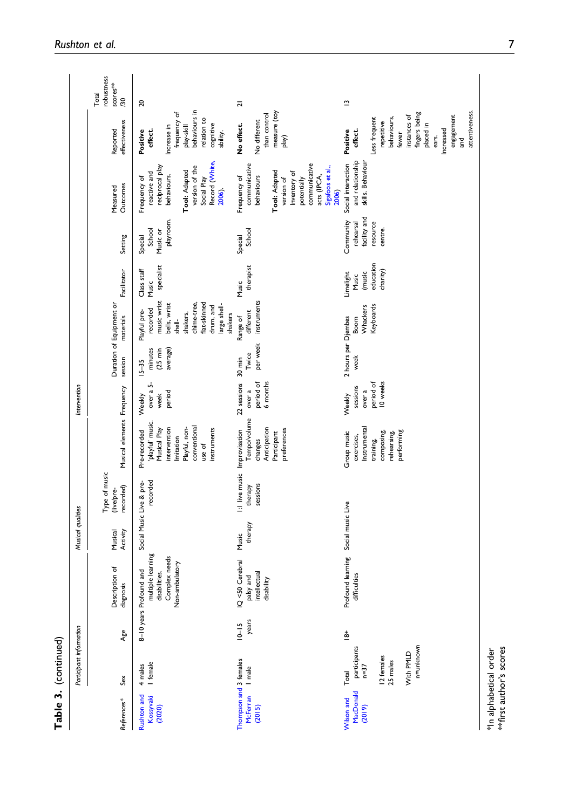|                                                     | Participant information                                                             |                                |                                                                                                  | Musical qualities   |                                          |                                                                                                                                        | Intervention                                          |                                                        |                                                                                                                                                      |                                                       |                                                               |                                                                                                                                                                        |                                                                                                                                                                                             |                                                   |
|-----------------------------------------------------|-------------------------------------------------------------------------------------|--------------------------------|--------------------------------------------------------------------------------------------------|---------------------|------------------------------------------|----------------------------------------------------------------------------------------------------------------------------------------|-------------------------------------------------------|--------------------------------------------------------|------------------------------------------------------------------------------------------------------------------------------------------------------|-------------------------------------------------------|---------------------------------------------------------------|------------------------------------------------------------------------------------------------------------------------------------------------------------------------|---------------------------------------------------------------------------------------------------------------------------------------------------------------------------------------------|---------------------------------------------------|
| References*                                         | Sex                                                                                 | Age                            | Description of<br>diagnosis                                                                      | Musical<br>Activity | Type of music<br>recorded)<br>(live/pre- | Musical elements Frequency                                                                                                             |                                                       | session                                                | Duration of Equipment or<br>materials                                                                                                                | Facilitator                                           | Setting                                                       | Outcomes<br>Measured                                                                                                                                                   | effectiveness<br>Reported                                                                                                                                                                   | robustness<br>scores <sup>**</sup><br>Total<br>80 |
| Rushton and<br>Kosyyaki<br>(2020)                   | I female<br>4 males                                                                 |                                | multiple learning<br>disabilities.<br>Complex needs<br>Non-ambulatory<br>8-10 years Profound and |                     | recorded<br>Social Music Live & pre-     | 'playful' music.<br>conventional<br>Playful, non-<br>Musical Play<br>intervention<br>instruments<br>Pre-recorded<br>mitation<br>use of | over a 5-<br>period<br>week<br>Weekly                 | minutes<br>$(25 \text{ min})$<br>average)<br>$15 - 35$ | music wrist<br>flat-skinned<br>bells, wrist<br>chime-tree,<br>large shell-<br>drum, and<br>recorded<br>Playful pre-<br>shakers,<br>shakers<br>shell- | specialist<br>Class staff<br>Music                    | playroom.<br>School<br>Music or<br>Special                    | Record (White,<br>reciprocal play<br>version of the<br>Tool: Adapted<br>reactive and<br>behaviours.<br>Frequency of<br>Social Play<br>2006).                           | behaviours in<br>frequency of<br>relation to<br>cognitive<br>Increase in<br>play-skill<br>effect.<br>Positive<br>ability.                                                                   | 20                                                |
| Thompson and 3 females<br>McFerran I male<br>(2015) |                                                                                     | year <sub>s</sub><br>$10 - 15$ | IQ <50 Cerebral<br>intellectual<br>palsy and<br>disability                                       | therapy<br>Music    | sessions<br>therapy                      | Tempo/volume<br>Anticipation<br>preferences<br>1:1 live music Improvisation<br>Participant<br>changes                                  | 22 sessions 30 min<br>period of<br>6 months<br>over a | per week<br>Twice                                      | instruments<br>different<br>Range of                                                                                                                 | therapist<br>Music                                    | School<br>Special                                             | communicative<br>communicative<br>Sigafoos et al.,<br>Tool: Adapted<br>Inventory of<br>acts (IPCA,<br>behaviours<br>Frequency of<br>version of<br>potentially<br>2006) | measure (toy<br>than control<br>No different<br>No effect.<br>$\overline{p}$                                                                                                                | $\overline{a}$                                    |
| MacDonald<br>Wilson and<br>(2019)                   | n=unknown<br>participants<br>With PMLD<br>12 females<br>25 males<br>$n=37$<br>Total | $\frac{1}{8}$                  | Profound learning Social music Live<br>difficulties                                              |                     |                                          | Instrumental<br>Group music<br>performing<br>composing,<br>rehearsing<br>exercises,<br>training,                                       | 10 weeks<br>period of<br>sessions<br>over a<br>Weekly | 2 hours per Djembes<br>week                            | Keyboards<br>Whackers<br>Boom                                                                                                                        | education<br>charity)<br>(music<br>Limelight<br>Music | facility and<br>Community<br>rehearsal<br>resource<br>centre. | and relationship<br>Social interaction<br>skills. Behaviour                                                                                                            | attentiveness.<br>fingers being<br>instances of<br>engagement<br>behaviours,<br>Less frequent<br>repetitive<br>placed in<br>Increased<br>effect.<br>Positive<br>fewer<br>ears.<br>and<br>Fi | $\tilde{c}$                                       |

Table 3. (continued)

Table 3. (continued)

\*In alphabetical order<br>\*\*first author's scores \*\*first author's scores \*In alphabetical order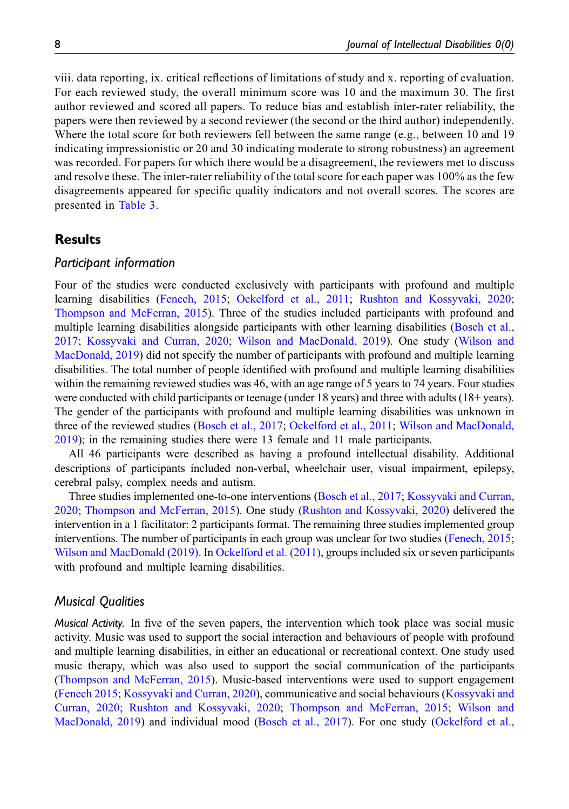viii. data reporting, ix. critical reflections of limitations of study and x. reporting of evaluation. For each reviewed study, the overall minimum score was 10 and the maximum 30. The first author reviewed and scored all papers. To reduce bias and establish inter-rater reliability, the papers were then reviewed by a second reviewer (the second or the third author) independently. Where the total score for both reviewers fell between the same range (e.g., between 10 and 19 indicating impressionistic or 20 and 30 indicating moderate to strong robustness) an agreement was recorded. For papers for which there would be a disagreement, the reviewers met to discuss and resolve these. The inter-rater reliability of the total score for each paper was 100% as the few disagreements appeared for specific quality indicators and not overall scores. The scores are presented in [Table 3.](#page-6-0)

# Results

#### Participant information

Four of the studies were conducted exclusively with participants with profound and multiple learning disabilities ([Fenech, 2015](#page-16-14); [Ockelford et al., 2011](#page-17-13); [Rushton and Kossyvaki, 2020](#page-17-2); [Thompson and McFerran, 2015](#page-18-3)). Three of the studies included participants with profound and multiple learning disabilities alongside participants with other learning disabilities ([Bosch et al.,](#page-15-4) [2017](#page-15-4); [Kossyvaki and Curran, 2020;](#page-16-16) [Wilson and MacDonald, 2019](#page-18-4)). One study [\(Wilson and](#page-18-4) [MacDonald, 2019\)](#page-18-4) did not specify the number of participants with profound and multiple learning disabilities. The total number of people identified with profound and multiple learning disabilities within the remaining reviewed studies was 46, with an age range of 5 years to 74 years. Four studies were conducted with child participants or teenage (under 18 years) and three with adults (18+ years). The gender of the participants with profound and multiple learning disabilities was unknown in three of the reviewed studies [\(Bosch et al., 2017;](#page-15-4) [Ockelford et al., 2011;](#page-17-13) [Wilson and MacDonald,](#page-18-4) [2019](#page-18-4)); in the remaining studies there were 13 female and 11 male participants.

All 46 participants were described as having a profound intellectual disability. Additional descriptions of participants included non-verbal, wheelchair user, visual impairment, epilepsy, cerebral palsy, complex needs and autism.

Three studies implemented one-to-one interventions [\(Bosch et al., 2017;](#page-15-4) [Kossyvaki and Curran,](#page-16-16) [2020](#page-16-16); [Thompson and McFerran, 2015\)](#page-18-3). One study [\(Rushton and Kossyvaki, 2020](#page-17-2)) delivered the intervention in a 1 facilitator: 2 participants format. The remaining three studies implemented group interventions. The number of participants in each group was unclear for two studies ([Fenech, 2015](#page-16-14); [Wilson and MacDonald \(2019\)](#page-18-4). In [Ockelford et al. \(2011\),](#page-17-13) groups included six or seven participants with profound and multiple learning disabilities.

#### Musical Qualities

Musical Activity. In five of the seven papers, the intervention which took place was social music activity. Music was used to support the social interaction and behaviours of people with profound and multiple learning disabilities, in either an educational or recreational context. One study used music therapy, which was also used to support the social communication of the participants [\(Thompson and McFerran, 2015\)](#page-18-3). Music-based interventions were used to support engagement [\(Fenech 2015;](#page-16-14) [Kossyvaki and Curran, 2020\)](#page-16-16), communicative and social behaviours [\(Kossyvaki and](#page-16-16) [Curran, 2020](#page-16-16); [Rushton and Kossyvaki, 2020](#page-17-2); [Thompson and McFerran, 2015;](#page-18-3) [Wilson and](#page-18-4) [MacDonald, 2019](#page-18-4)) and individual mood ([Bosch et al., 2017](#page-15-4)). For one study ([Ockelford et al.,](#page-17-13)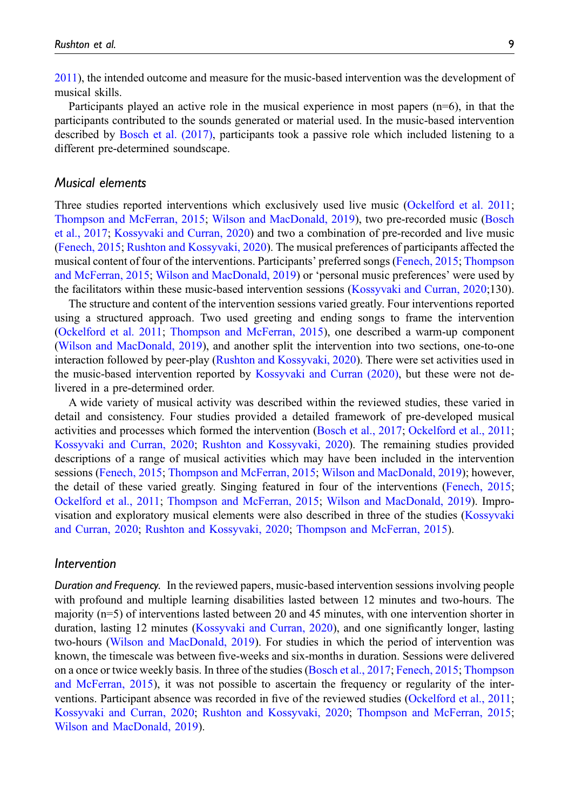[2011\)](#page-17-13), the intended outcome and measure for the music-based intervention was the development of musical skills.

Participants played an active role in the musical experience in most papers (n=6), in that the participants contributed to the sounds generated or material used. In the music-based intervention described by [Bosch et al. \(2017\)](#page-15-4), participants took a passive role which included listening to a different pre-determined soundscape.

#### Musical elements

Three studies reported interventions which exclusively used live music [\(Ockelford et al. 2011](#page-17-13); [Thompson and McFerran, 2015;](#page-18-3) [Wilson and MacDonald, 2019\)](#page-18-4), two pre-recorded music ([Bosch](#page-15-4) [et al., 2017](#page-15-4); [Kossyvaki and Curran, 2020\)](#page-16-16) and two a combination of pre-recorded and live music [\(Fenech, 2015;](#page-16-14) [Rushton and Kossyvaki, 2020\)](#page-17-2). The musical preferences of participants affected the musical content of four of the interventions. Participants' preferred songs ([Fenech, 2015;](#page-16-14) [Thompson](#page-18-3) [and McFerran, 2015;](#page-18-3) [Wilson and MacDonald, 2019](#page-18-4)) or 'personal music preferences' were used by the facilitators within these music-based intervention sessions ([Kossyvaki and Curran, 2020](#page-16-16);130).

The structure and content of the intervention sessions varied greatly. Four interventions reported using a structured approach. Two used greeting and ending songs to frame the intervention [\(Ockelford et al. 2011](#page-17-13); [Thompson and McFerran, 2015](#page-18-3)), one described a warm-up component [\(Wilson and MacDonald, 2019](#page-18-4)), and another split the intervention into two sections, one-to-one interaction followed by peer-play ([Rushton and Kossyvaki, 2020\)](#page-17-2). There were set activities used in the music-based intervention reported by [Kossyvaki and Curran \(2020\),](#page-16-16) but these were not delivered in a pre-determined order.

A wide variety of musical activity was described within the reviewed studies, these varied in detail and consistency. Four studies provided a detailed framework of pre-developed musical activities and processes which formed the intervention ([Bosch et al., 2017;](#page-15-4) [Ockelford et al., 2011](#page-17-13); [Kossyvaki and Curran, 2020;](#page-16-16) [Rushton and Kossyvaki, 2020\)](#page-17-2). The remaining studies provided descriptions of a range of musical activities which may have been included in the intervention sessions [\(Fenech, 2015](#page-16-14); [Thompson and McFerran, 2015;](#page-18-3) [Wilson and MacDonald, 2019](#page-18-4)); however, the detail of these varied greatly. Singing featured in four of the interventions ([Fenech, 2015](#page-16-14); [Ockelford et al., 2011;](#page-17-13) [Thompson and McFerran, 2015](#page-18-3); [Wilson and MacDonald, 2019](#page-18-4)). Improvisation and exploratory musical elements were also described in three of the studies ([Kossyvaki](#page-16-16) [and Curran, 2020](#page-16-16); [Rushton and Kossyvaki, 2020;](#page-17-2) [Thompson and McFerran, 2015](#page-18-3)).

#### Intervention

Duration and Frequency. In the reviewed papers, music-based intervention sessions involving people with profound and multiple learning disabilities lasted between 12 minutes and two-hours. The majority (n=5) of interventions lasted between 20 and 45 minutes, with one intervention shorter in duration, lasting 12 minutes ([Kossyvaki and Curran, 2020\)](#page-16-16), and one significantly longer, lasting two-hours [\(Wilson and MacDonald, 2019\)](#page-18-4). For studies in which the period of intervention was known, the timescale was between five-weeks and six-months in duration. Sessions were delivered on a once or twice weekly basis. In three of the studies [\(Bosch et al., 2017](#page-15-4); [Fenech, 2015;](#page-16-14) [Thompson](#page-18-3) [and McFerran, 2015\)](#page-18-3), it was not possible to ascertain the frequency or regularity of the interventions. Participant absence was recorded in five of the reviewed studies ([Ockelford et al., 2011](#page-17-13); [Kossyvaki and Curran, 2020;](#page-16-16) [Rushton and Kossyvaki, 2020;](#page-17-2) [Thompson and McFerran, 2015](#page-18-3); [Wilson and MacDonald, 2019](#page-18-4)).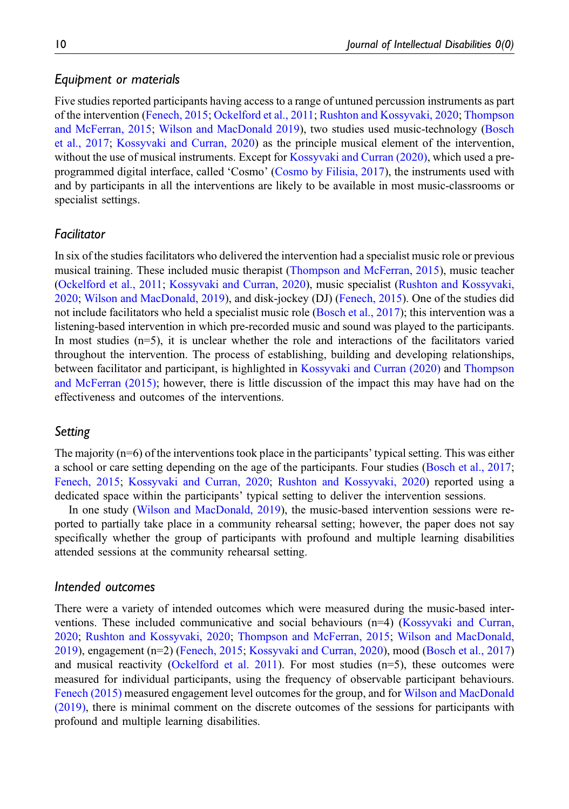#### Equipment or materials

Five studies reported participants having access to a range of untuned percussion instruments as part of the intervention [\(Fenech, 2015](#page-16-14); [Ockelford et al., 2011;](#page-17-13) [Rushton and Kossyvaki, 2020;](#page-17-2) [Thompson](#page-18-3) [and McFerran, 2015;](#page-18-3) [Wilson and MacDonald 2019\)](#page-18-4), two studies used music-technology ([Bosch](#page-15-4) [et al., 2017;](#page-15-4) [Kossyvaki and Curran, 2020\)](#page-16-16) as the principle musical element of the intervention, without the use of musical instruments. Except for [Kossyvaki and Curran \(2020\),](#page-16-16) which used a preprogrammed digital interface, called 'Cosmo' ([Cosmo by Filisia, 2017\)](#page-16-17), the instruments used with and by participants in all the interventions are likely to be available in most music-classrooms or specialist settings.

#### Facilitator

In six of the studies facilitators who delivered the intervention had a specialist music role or previous musical training. These included music therapist ([Thompson and McFerran, 2015](#page-18-3)), music teacher [\(Ockelford et al., 2011;](#page-17-13) [Kossyvaki and Curran, 2020\)](#page-16-16), music specialist ([Rushton and Kossyvaki,](#page-17-2) [2020](#page-17-2); [Wilson and MacDonald, 2019\)](#page-18-4), and disk-jockey (DJ) [\(Fenech, 2015\)](#page-16-14). One of the studies did not include facilitators who held a specialist music role ([Bosch et al., 2017\)](#page-15-4); this intervention was a listening-based intervention in which pre-recorded music and sound was played to the participants. In most studies  $(n=5)$ , it is unclear whether the role and interactions of the facilitators varied throughout the intervention. The process of establishing, building and developing relationships, between facilitator and participant, is highlighted in [Kossyvaki and Curran \(2020\)](#page-16-16) and [Thompson](#page-18-3) [and McFerran \(2015\)](#page-18-3); however, there is little discussion of the impact this may have had on the effectiveness and outcomes of the interventions.

### Setting

The majority (n=6) of the interventions took place in the participants' typical setting. This was either a school or care setting depending on the age of the participants. Four studies ([Bosch et al., 2017](#page-15-4); [Fenech, 2015;](#page-16-14) [Kossyvaki and Curran, 2020](#page-16-16); [Rushton and Kossyvaki, 2020](#page-17-2)) reported using a dedicated space within the participants' typical setting to deliver the intervention sessions.

In one study ([Wilson and MacDonald, 2019\)](#page-18-4), the music-based intervention sessions were reported to partially take place in a community rehearsal setting; however, the paper does not say specifically whether the group of participants with profound and multiple learning disabilities attended sessions at the community rehearsal setting.

## Intended outcomes

There were a variety of intended outcomes which were measured during the music-based interventions. These included communicative and social behaviours (n=4) ([Kossyvaki and Curran,](#page-16-16) [2020](#page-16-16); [Rushton and Kossyvaki, 2020](#page-17-2); [Thompson and McFerran, 2015](#page-18-3); [Wilson and MacDonald,](#page-18-4) [2019](#page-18-4)), engagement (n=2) [\(Fenech, 2015;](#page-16-14) [Kossyvaki and Curran, 2020\)](#page-16-16), mood [\(Bosch et al., 2017\)](#page-15-4) and musical reactivity [\(Ockelford et al. 2011](#page-17-13)). For most studies  $(n=5)$ , these outcomes were measured for individual participants, using the frequency of observable participant behaviours. [Fenech \(2015\)](#page-16-14) measured engagement level outcomes for the group, and for [Wilson and MacDonald](#page-18-4) [\(2019\),](#page-18-4) there is minimal comment on the discrete outcomes of the sessions for participants with profound and multiple learning disabilities.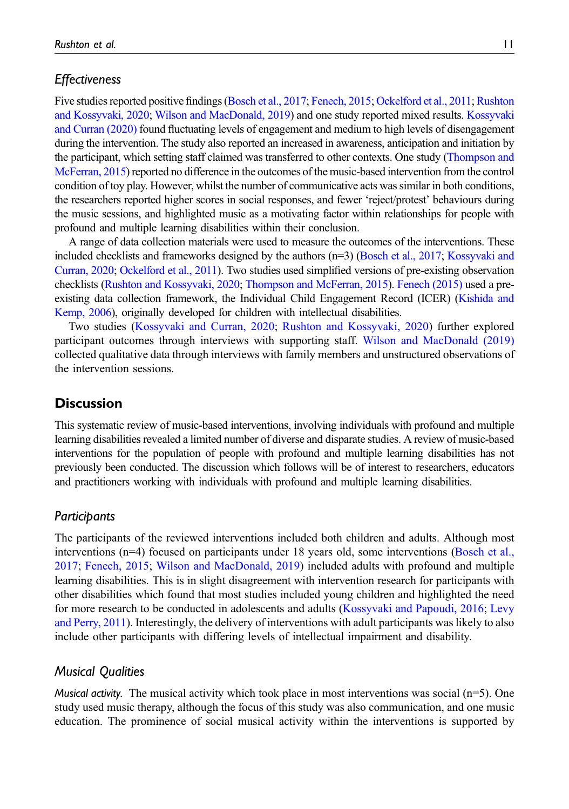# **Effectiveness**

Five studies reported positive findings [\(Bosch et al., 2017](#page-15-4); [Fenech, 2015](#page-16-14); [Ockelford et al., 2011](#page-17-13); [Rushton](#page-17-2) [and Kossyvaki, 2020](#page-17-2); [Wilson and MacDonald, 2019\)](#page-18-4) and one study reported mixed results. [Kossyvaki](#page-16-16) [and Curran \(2020\)](#page-16-16) found fluctuating levels of engagement and medium to high levels of disengagement during the intervention. The study also reported an increased in awareness, anticipation and initiation by the participant, which setting staff claimed was transferred to other contexts. One study ([Thompson and](#page-18-3) [McFerran, 2015\)](#page-18-3) reported no difference in the outcomes of the music-based intervention from the control condition of toy play. However, whilst the number of communicative acts was similar in both conditions, the researchers reported higher scores in social responses, and fewer 'reject/protest' behaviours during the music sessions, and highlighted music as a motivating factor within relationships for people with profound and multiple learning disabilities within their conclusion.

A range of data collection materials were used to measure the outcomes of the interventions. These included checklists and frameworks designed by the authors (n=3) [\(Bosch et al., 2017;](#page-15-4) [Kossyvaki and](#page-16-16) [Curran, 2020](#page-16-16); [Ockelford et al., 2011](#page-17-13)). Two studies used simplified versions of pre-existing observation checklists ([Rushton and Kossyvaki, 2020](#page-17-2); [Thompson and McFerran, 2015\)](#page-18-3). [Fenech \(2015\)](#page-16-14) used a preexisting data collection framework, the Individual Child Engagement Record (ICER) [\(Kishida and](#page-16-15) [Kemp, 2006](#page-16-15)), originally developed for children with intellectual disabilities.

Two studies [\(Kossyvaki and Curran, 2020;](#page-16-16) [Rushton and Kossyvaki, 2020](#page-17-2)) further explored participant outcomes through interviews with supporting staff. [Wilson and MacDonald \(2019\)](#page-18-4) collected qualitative data through interviews with family members and unstructured observations of the intervention sessions.

# **Discussion**

This systematic review of music-based interventions, involving individuals with profound and multiple learning disabilities revealed a limited number of diverse and disparate studies. A review of music-based interventions for the population of people with profound and multiple learning disabilities has not previously been conducted. The discussion which follows will be of interest to researchers, educators and practitioners working with individuals with profound and multiple learning disabilities.

#### Participants

The participants of the reviewed interventions included both children and adults. Although most interventions (n=4) focused on participants under 18 years old, some interventions [\(Bosch et al.,](#page-15-4) [2017](#page-15-4); [Fenech, 2015](#page-16-14); [Wilson and MacDonald, 2019](#page-18-4)) included adults with profound and multiple learning disabilities. This is in slight disagreement with intervention research for participants with other disabilities which found that most studies included young children and highlighted the need for more research to be conducted in adolescents and adults [\(Kossyvaki and Papoudi, 2016;](#page-16-18) [Levy](#page-16-19) [and Perry, 2011](#page-16-19)). Interestingly, the delivery of interventions with adult participants was likely to also include other participants with differing levels of intellectual impairment and disability.

#### Musical Qualities

*Musical activity.* The musical activity which took place in most interventions was social  $(n=5)$ . One study used music therapy, although the focus of this study was also communication, and one music education. The prominence of social musical activity within the interventions is supported by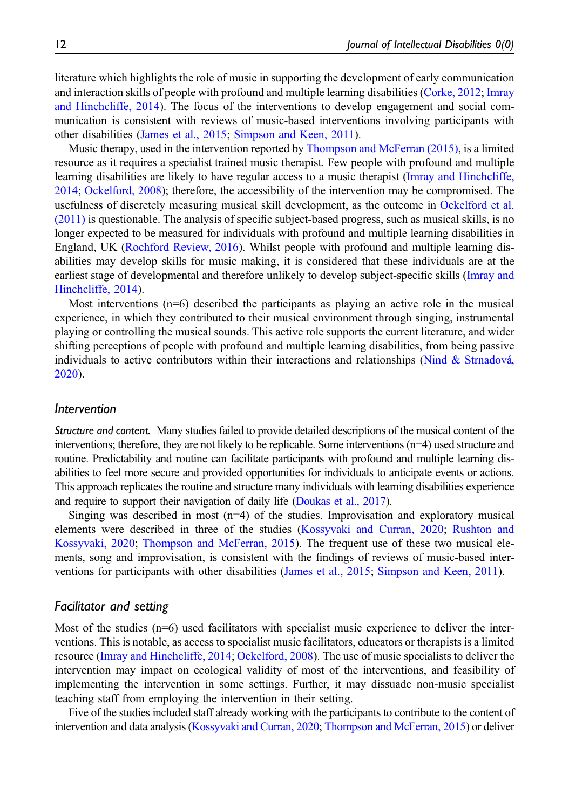literature which highlights the role of music in supporting the development of early communication and interaction skills of people with profound and multiple learning disabilities ([Corke, 2012;](#page-16-3) [Imray](#page-16-20) [and Hinchcliffe, 2014](#page-16-20)). The focus of the interventions to develop engagement and social communication is consistent with reviews of music-based interventions involving participants with other disabilities ([James et al., 2015](#page-16-10); [Simpson and Keen, 2011](#page-17-14)).

Music therapy, used in the intervention reported by [Thompson and McFerran \(2015\)](#page-18-3), is a limited resource as it requires a specialist trained music therapist. Few people with profound and multiple learning disabilities are likely to have regular access to a music therapist ([Imray and Hinchcliffe,](#page-16-20) [2014](#page-16-20); [Ockelford, 2008\)](#page-17-1); therefore, the accessibility of the intervention may be compromised. The usefulness of discretely measuring musical skill development, as the outcome in [Ockelford et al.](#page-17-13) [\(2011\)](#page-17-13) is questionable. The analysis of specific subject-based progress, such as musical skills, is no longer expected to be measured for individuals with profound and multiple learning disabilities in England, UK ([Rochford Review, 2016](#page-17-15)). Whilst people with profound and multiple learning disabilities may develop skills for music making, it is considered that these individuals are at the earliest stage of developmental and therefore unlikely to develop subject-specific skills [\(Imray and](#page-16-20) [Hinchcliffe, 2014\)](#page-16-20).

Most interventions (n=6) described the participants as playing an active role in the musical experience, in which they contributed to their musical environment through singing, instrumental playing or controlling the musical sounds. This active role supports the current literature, and wider shifting perceptions of people with profound and multiple learning disabilities, from being passive individuals to active contributors within their interactions and relationships (Nind & Strnadová, [2020](#page-17-4)).

#### Intervention

Structure and content. Many studies failed to provide detailed descriptions of the musical content of the interventions; therefore, they are not likely to be replicable. Some interventions (n=4) used structure and routine. Predictability and routine can facilitate participants with profound and multiple learning disabilities to feel more secure and provided opportunities for individuals to anticipate events or actions. This approach replicates the routine and structure many individuals with learning disabilities experience and require to support their navigation of daily life ([Doukas et al., 2017\)](#page-16-5).

Singing was described in most  $(n=4)$  of the studies. Improvisation and exploratory musical elements were described in three of the studies [\(Kossyvaki and Curran, 2020;](#page-16-16) [Rushton and](#page-17-2) [Kossyvaki, 2020](#page-17-2); [Thompson and McFerran, 2015](#page-18-3)). The frequent use of these two musical elements, song and improvisation, is consistent with the findings of reviews of music-based interventions for participants with other disabilities ([James et al., 2015;](#page-16-10) [Simpson and Keen, 2011](#page-17-14)).

#### Facilitator and setting

Most of the studies  $(n=6)$  used facilitators with specialist music experience to deliver the interventions. This is notable, as access to specialist music facilitators, educators or therapists is a limited resource ([Imray and Hinchcliffe, 2014](#page-16-20); [Ockelford, 2008](#page-17-1)). The use of music specialists to deliver the intervention may impact on ecological validity of most of the interventions, and feasibility of implementing the intervention in some settings. Further, it may dissuade non-music specialist teaching staff from employing the intervention in their setting.

Five of the studies included staff already working with the participants to contribute to the content of intervention and data analysis [\(Kossyvaki and Curran, 2020](#page-16-16); [Thompson and McFerran, 2015\)](#page-18-3) or deliver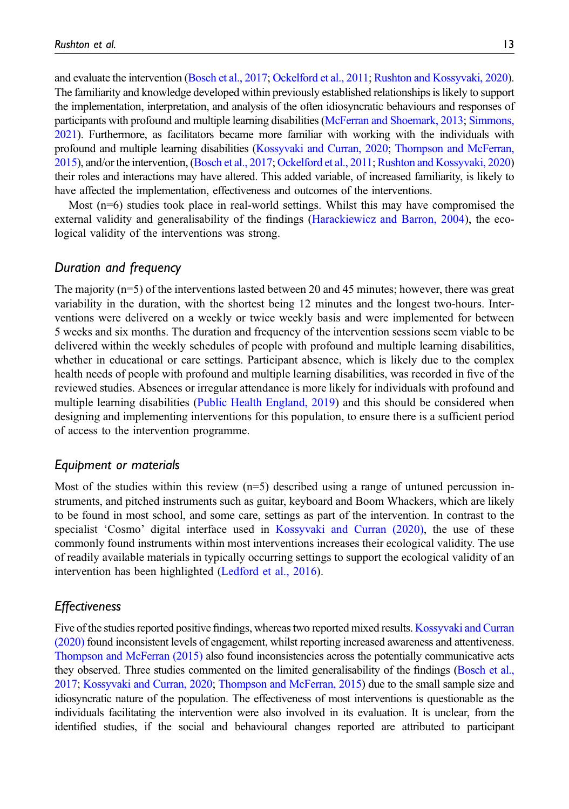and evaluate the intervention [\(Bosch et al., 2017](#page-15-4); [Ockelford et al., 2011](#page-17-13); [Rushton and Kossyvaki, 2020](#page-17-2)). The familiarity and knowledge developed within previously established relationships is likely to support the implementation, interpretation, and analysis of the often idiosyncratic behaviours and responses of participants with profound and multiple learning disabilities [\(McFerran and Shoemark, 2013;](#page-17-16) [Simmons,](#page-17-17) [2021](#page-17-17)). Furthermore, as facilitators became more familiar with working with the individuals with profound and multiple learning disabilities [\(Kossyvaki and Curran, 2020;](#page-16-16) [Thompson and McFerran,](#page-18-3) [2015](#page-18-3)), and/or the intervention, [\(Bosch et al., 2017;](#page-15-4) [Ockelford et al., 2011;](#page-17-13)[Rushton and Kossyvaki, 2020\)](#page-17-2) their roles and interactions may have altered. This added variable, of increased familiarity, is likely to have affected the implementation, effectiveness and outcomes of the interventions.

Most (n=6) studies took place in real-world settings. Whilst this may have compromised the external validity and generalisability of the findings [\(Harackiewicz and Barron, 2004\)](#page-16-21), the ecological validity of the interventions was strong.

#### Duration and frequency

The majority (n=5) of the interventions lasted between 20 and 45 minutes; however, there was great variability in the duration, with the shortest being 12 minutes and the longest two-hours. Interventions were delivered on a weekly or twice weekly basis and were implemented for between 5 weeks and six months. The duration and frequency of the intervention sessions seem viable to be delivered within the weekly schedules of people with profound and multiple learning disabilities, whether in educational or care settings. Participant absence, which is likely due to the complex health needs of people with profound and multiple learning disabilities, was recorded in five of the reviewed studies. Absences or irregular attendance is more likely for individuals with profound and multiple learning disabilities [\(Public Health England, 2019\)](#page-17-18) and this should be considered when designing and implementing interventions for this population, to ensure there is a sufficient period of access to the intervention programme.

#### Equipment or materials

Most of the studies within this review  $(n=5)$  described using a range of untuned percussion instruments, and pitched instruments such as guitar, keyboard and Boom Whackers, which are likely to be found in most school, and some care, settings as part of the intervention. In contrast to the specialist 'Cosmo' digital interface used in [Kossyvaki and Curran \(2020\),](#page-16-16) the use of these commonly found instruments within most interventions increases their ecological validity. The use of readily available materials in typically occurring settings to support the ecological validity of an intervention has been highlighted [\(Ledford et al., 2016](#page-16-22)).

#### **Effectiveness**

Five of the studies reported positive findings, whereas two reported mixed results. [Kossyvaki and Curran](#page-16-16) [\(2020\)](#page-16-16) found inconsistent levels of engagement, whilst reporting increased awareness and attentiveness. [Thompson and McFerran \(2015\)](#page-18-3) also found inconsistencies across the potentially communicative acts they observed. Three studies commented on the limited generalisability of the findings [\(Bosch et al.,](#page-15-4) [2017](#page-15-4); [Kossyvaki and Curran, 2020;](#page-16-16) [Thompson and McFerran, 2015](#page-18-3)) due to the small sample size and idiosyncratic nature of the population. The effectiveness of most interventions is questionable as the individuals facilitating the intervention were also involved in its evaluation. It is unclear, from the identified studies, if the social and behavioural changes reported are attributed to participant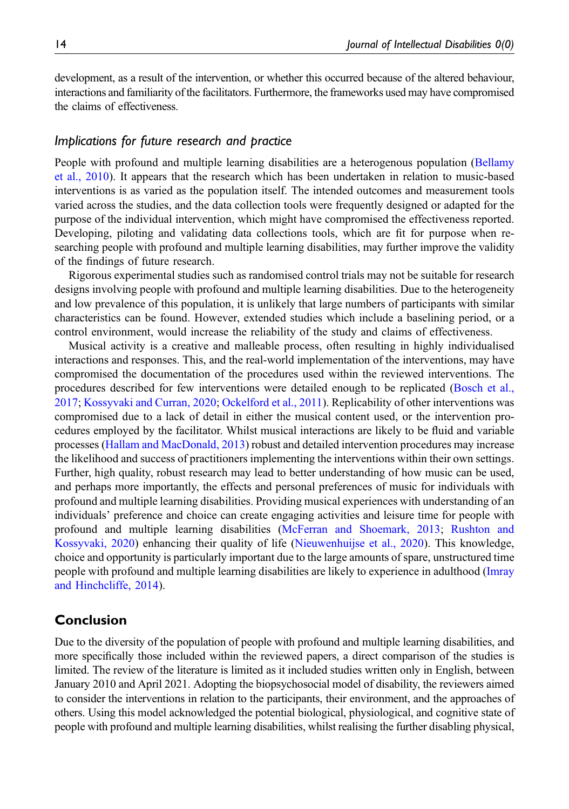development, as a result of the intervention, or whether this occurred because of the altered behaviour, interactions and familiarity of the facilitators. Furthermore, the frameworks used may have compromised the claims of effectiveness.

#### Implications for future research and practice

People with profound and multiple learning disabilities are a heterogenous population [\(Bellamy](#page-15-3) [et al., 2010](#page-15-3)). It appears that the research which has been undertaken in relation to music-based interventions is as varied as the population itself. The intended outcomes and measurement tools varied across the studies, and the data collection tools were frequently designed or adapted for the purpose of the individual intervention, which might have compromised the effectiveness reported. Developing, piloting and validating data collections tools, which are fit for purpose when researching people with profound and multiple learning disabilities, may further improve the validity of the findings of future research.

Rigorous experimental studies such as randomised control trials may not be suitable for research designs involving people with profound and multiple learning disabilities. Due to the heterogeneity and low prevalence of this population, it is unlikely that large numbers of participants with similar characteristics can be found. However, extended studies which include a baselining period, or a control environment, would increase the reliability of the study and claims of effectiveness.

Musical activity is a creative and malleable process, often resulting in highly individualised interactions and responses. This, and the real-world implementation of the interventions, may have compromised the documentation of the procedures used within the reviewed interventions. The procedures described for few interventions were detailed enough to be replicated [\(Bosch et al.,](#page-15-4) [2017](#page-15-4); [Kossyvaki and Curran, 2020](#page-16-16); [Ockelford et al., 2011](#page-17-13)). Replicability of other interventions was compromised due to a lack of detail in either the musical content used, or the intervention procedures employed by the facilitator. Whilst musical interactions are likely to be fluid and variable processes [\(Hallam and MacDonald, 2013\)](#page-16-0) robust and detailed intervention procedures may increase the likelihood and success of practitioners implementing the interventions within their own settings. Further, high quality, robust research may lead to better understanding of how music can be used, and perhaps more importantly, the effects and personal preferences of music for individuals with profound and multiple learning disabilities. Providing musical experiences with understanding of an individuals' preference and choice can create engaging activities and leisure time for people with profound and multiple learning disabilities ([McFerran and Shoemark, 2013](#page-17-16); [Rushton and](#page-17-2) [Kossyvaki, 2020](#page-17-2)) enhancing their quality of life ([Nieuwenhuijse et al., 2020](#page-17-19)). This knowledge, choice and opportunity is particularly important due to the large amounts of spare, unstructured time people with profound and multiple learning disabilities are likely to experience in adulthood [\(Imray](#page-16-20) [and Hinchcliffe, 2014](#page-16-20)).

# Conclusion

Due to the diversity of the population of people with profound and multiple learning disabilities, and more specifically those included within the reviewed papers, a direct comparison of the studies is limited. The review of the literature is limited as it included studies written only in English, between January 2010 and April 2021. Adopting the biopsychosocial model of disability, the reviewers aimed to consider the interventions in relation to the participants, their environment, and the approaches of others. Using this model acknowledged the potential biological, physiological, and cognitive state of people with profound and multiple learning disabilities, whilst realising the further disabling physical,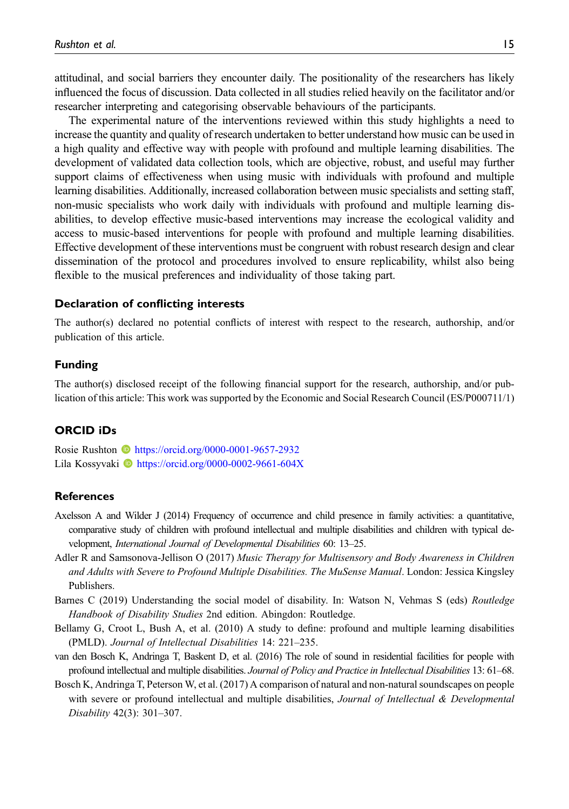attitudinal, and social barriers they encounter daily. The positionality of the researchers has likely influenced the focus of discussion. Data collected in all studies relied heavily on the facilitator and/or researcher interpreting and categorising observable behaviours of the participants.

The experimental nature of the interventions reviewed within this study highlights a need to increase the quantity and quality of research undertaken to better understand how music can be used in a high quality and effective way with people with profound and multiple learning disabilities. The development of validated data collection tools, which are objective, robust, and useful may further support claims of effectiveness when using music with individuals with profound and multiple learning disabilities. Additionally, increased collaboration between music specialists and setting staff, non-music specialists who work daily with individuals with profound and multiple learning disabilities, to develop effective music-based interventions may increase the ecological validity and access to music-based interventions for people with profound and multiple learning disabilities. Effective development of these interventions must be congruent with robust research design and clear dissemination of the protocol and procedures involved to ensure replicability, whilst also being flexible to the musical preferences and individuality of those taking part.

#### Declaration of conflicting interests

The author(s) declared no potential conflicts of interest with respect to the research, authorship, and/or publication of this article.

#### Funding

The author(s) disclosed receipt of the following financial support for the research, authorship, and/or publication of this article: This work was supported by the Economic and Social Research Council (ES/P000711/1)

#### ORCID iDs

Rosie Rushton **b** <https://orcid.org/0000-0001-9657-2932> Lila Kossyvaki **I**<https://orcid.org/0000-0002-9661-604X>

#### References

- <span id="page-15-0"></span>Axelsson A and Wilder J (2014) Frequency of occurrence and child presence in family activities: a quantitative, comparative study of children with profound intellectual and multiple disabilities and children with typical development, International Journal of Developmental Disabilities 60: 13–25.
- <span id="page-15-1"></span>Adler R and Samsonova-Jellison O (2017) Music Therapy for Multisensory and Body Awareness in Children and Adults with Severe to Profound Multiple Disabilities. The MuSense Manual. London: Jessica Kingsley Publishers.
- <span id="page-15-2"></span>Barnes C (2019) Understanding the social model of disability. In: Watson N, Vehmas S (eds) Routledge Handbook of Disability Studies 2nd edition. Abingdon: Routledge.
- <span id="page-15-3"></span>Bellamy G, Croot L, Bush A, et al. (2010) A study to define: profound and multiple learning disabilities (PMLD). Journal of Intellectual Disabilities 14: 221–235.
- <span id="page-15-5"></span>van den Bosch K, Andringa T, Baskent D, et al. (2016) The role of sound in residential facilities for people with profound intellectual and multiple disabilities. Journal of Policy and Practice in Intellectual Disabilities 13: 61–68.
- <span id="page-15-4"></span>Bosch K, Andringa T, Peterson W, et al. (2017) A comparison of natural and non-natural soundscapes on people with severe or profound intellectual and multiple disabilities, Journal of Intellectual & Developmental Disability 42(3): 301–307.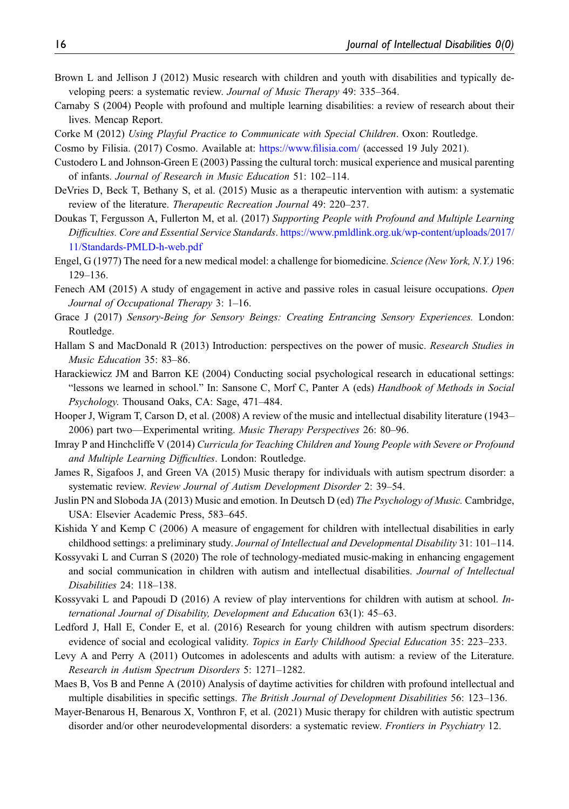- <span id="page-16-7"></span>Brown L and Jellison J (2012) Music research with children and youth with disabilities and typically developing peers: a systematic review. Journal of Music Therapy 49: 335–364.
- <span id="page-16-13"></span>Carnaby S (2004) People with profound and multiple learning disabilities: a review of research about their lives. Mencap Report.
- <span id="page-16-17"></span><span id="page-16-3"></span>Corke M (2012) Using Playful Practice to Communicate with Special Children. Oxon: Routledge.
- <span id="page-16-2"></span>Cosmo by Filisia. (2017) Cosmo. Available at: [https://www.](https://www.filisia.com/)filisia.com/ (accessed 19 July 2021).
- Custodero L and Johnson-Green E (2003) Passing the cultural torch: musical experience and musical parenting of infants. Journal of Research in Music Education 51: 102–114.
- <span id="page-16-9"></span>DeVries D, Beck T, Bethany S, et al. (2015) Music as a therapeutic intervention with autism: a systematic review of the literature. Therapeutic Recreation Journal 49: 220–237.
- <span id="page-16-5"></span>Doukas T, Fergusson A, Fullerton M, et al. (2017) Supporting People with Profound and Multiple Learning Difficulties. Core and Essential Service Standards. [https://www.pmldlink.org.uk/wp-content/uploads/2017/](https://www.pmldlink.org.uk/wp-content/uploads/2017/11/Standards-PMLD-h-web.pdf) [11/Standards-PMLD-h-web.pdf](https://www.pmldlink.org.uk/wp-content/uploads/2017/11/Standards-PMLD-h-web.pdf)
- <span id="page-16-12"></span>Engel, G (1977) The need for a new medical model: a challenge for biomedicine. Science (New York, N.Y.) 196: 129–136.
- <span id="page-16-14"></span>Fenech AM (2015) A study of engagement in active and passive roles in casual leisure occupations. Open Journal of Occupational Therapy 3: 1–16.
- <span id="page-16-6"></span>Grace J (2017) Sensory-Being for Sensory Beings: Creating Entrancing Sensory Experiences. London: Routledge.
- <span id="page-16-0"></span>Hallam S and MacDonald R (2013) Introduction: perspectives on the power of music. Research Studies in Music Education 35: 83–86.
- <span id="page-16-21"></span>Harackiewicz JM and Barron KE (2004) Conducting social psychological research in educational settings: "lessons we learned in school." In: Sansone C, Morf C, Panter A (eds) Handbook of Methods in Social Psychology. Thousand Oaks, CA: Sage, 471–484.
- <span id="page-16-8"></span>Hooper J, Wigram T, Carson D, et al. (2008) A review of the music and intellectual disability literature (1943– 2006) part two—Experimental writing. Music Therapy Perspectives 26: 80–96.
- <span id="page-16-20"></span>Imray P and Hinchcliffe V (2014) Curricula for Teaching Children and Young People with Severe or Profound and Multiple Learning Difficulties. London: Routledge.
- <span id="page-16-10"></span>James R, Sigafoos J, and Green VA (2015) Music therapy for individuals with autism spectrum disorder: a systematic review. Review Journal of Autism Development Disorder 2: 39–54.
- <span id="page-16-1"></span>Juslin PN and Sloboda JA (2013) Music and emotion. In Deutsch D (ed) The Psychology of Music. Cambridge, USA: Elsevier Academic Press, 583–645.
- <span id="page-16-15"></span>Kishida Y and Kemp C (2006) A measure of engagement for children with intellectual disabilities in early childhood settings: a preliminary study. Journal of Intellectual and Developmental Disability 31: 101–114.
- <span id="page-16-16"></span>Kossyvaki L and Curran S (2020) The role of technology-mediated music-making in enhancing engagement and social communication in children with autism and intellectual disabilities. Journal of Intellectual Disabilities 24: 118–138.
- <span id="page-16-18"></span>Kossyvaki L and Papoudi D (2016) A review of play interventions for children with autism at school. International Journal of Disability, Development and Education 63(1): 45–63.
- <span id="page-16-22"></span>Ledford J, Hall E, Conder E, et al. (2016) Research for young children with autism spectrum disorders: evidence of social and ecological validity. Topics in Early Childhood Special Education 35: 223–233.
- <span id="page-16-19"></span>Levy A and Perry A (2011) Outcomes in adolescents and adults with autism: a review of the Literature. Research in Autism Spectrum Disorders 5: 1271–1282.
- <span id="page-16-4"></span>Maes B, Vos B and Penne A (2010) Analysis of daytime activities for children with profound intellectual and multiple disabilities in specific settings. The British Journal of Development Disabilities 56: 123–136.
- <span id="page-16-11"></span>Mayer-Benarous H, Benarous X, Vonthron F, et al. (2021) Music therapy for children with autistic spectrum disorder and/or other neurodevelopmental disorders: a systematic review. Frontiers in Psychiatry 12.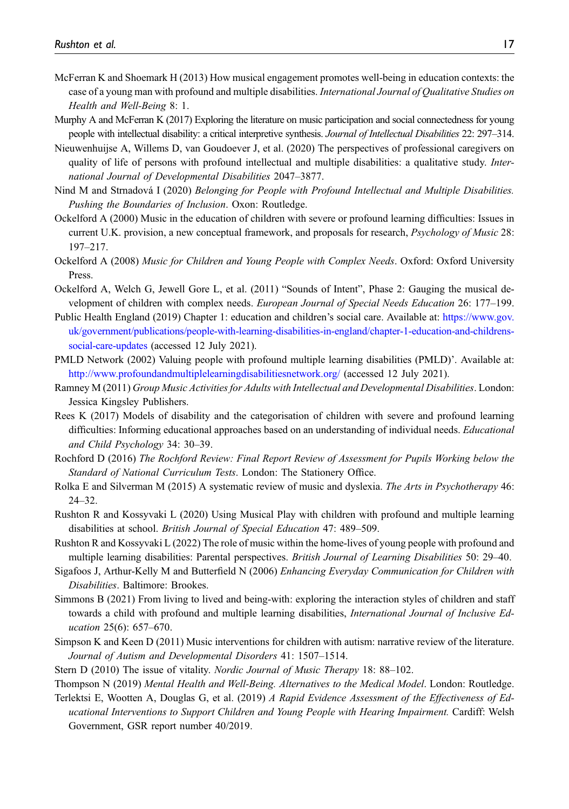- <span id="page-17-16"></span>McFerran K and Shoemark H (2013) How musical engagement promotes well-being in education contexts: the case of a young man with profound and multiple disabilities. International Journal of Qualitative Studies on Health and Well-Being 8: 1.
- <span id="page-17-0"></span>Murphy A and McFerran K (2017) Exploring the literature on music participation and social connectedness for young people with intellectual disability: a critical interpretive synthesis. Journal of Intellectual Disabilities 22: 297–314.
- <span id="page-17-19"></span>Nieuwenhuijse A, Willems D, van Goudoever J, et al. (2020) The perspectives of professional caregivers on quality of life of persons with profound intellectual and multiple disabilities: a qualitative study. International Journal of Developmental Disabilities 2047–3877.
- <span id="page-17-4"></span>Nind M and Strnadová I (2020) Belonging for People with Profound Intellectual and Multiple Disabilities. Pushing the Boundaries of Inclusion. Oxon: Routledge.
- <span id="page-17-7"></span>Ockelford A (2000) Music in the education of children with severe or profound learning difficulties: Issues in current U.K. provision, a new conceptual framework, and proposals for research, Psychology of Music 28: 197–217.
- <span id="page-17-1"></span>Ockelford A (2008) Music for Children and Young People with Complex Needs. Oxford: Oxford University Press.
- <span id="page-17-13"></span>Ockelford A, Welch G, Jewell Gore L, et al. (2011) "Sounds of Intent", Phase 2: Gauging the musical development of children with complex needs. European Journal of Special Needs Education 26: 177–199.
- <span id="page-17-18"></span>Public Health England (2019) Chapter 1: education and children's social care. Available at: [https://www.gov.](https://www.gov.uk/government/publications/people-with-learning-disabilities-in-england/chapter-1-education-and-childrens-social-care-updates) [uk/government/publications/people-with-learning-disabilities-in-england/chapter-1-education-and-childrens](https://www.gov.uk/government/publications/people-with-learning-disabilities-in-england/chapter-1-education-and-childrens-social-care-updates)[social-care-updates](https://www.gov.uk/government/publications/people-with-learning-disabilities-in-england/chapter-1-education-and-childrens-social-care-updates) (accessed 12 July 2021).
- <span id="page-17-11"></span>PMLD Network (2002) Valuing people with profound multiple learning disabilities (PMLD)'. Available at: <http://www.profoundandmultiplelearningdisabilitiesnetwork.org/> (accessed 12 July 2021).
- <span id="page-17-6"></span>Ramney M (2011) Group Music Activities for Adults with Intellectual and Developmental Disabilities. London: Jessica Kingsley Publishers.
- <span id="page-17-10"></span>Rees K (2017) Models of disability and the categorisation of children with severe and profound learning difficulties: Informing educational approaches based on an understanding of individual needs. *Educational* and Child Psychology 34: 30–39.
- <span id="page-17-15"></span>Rochford D (2016) The Rochford Review: Final Report Review of Assessment for Pupils Working below the Standard of National Curriculum Tests. London: The Stationery Office.
- <span id="page-17-9"></span>Rolka E and Silverman M (2015) A systematic review of music and dyslexia. The Arts in Psychotherapy 46: 24–32.
- <span id="page-17-2"></span>Rushton R and Kossyvaki L (2020) Using Musical Play with children with profound and multiple learning disabilities at school. British Journal of Special Education 47: 489–509.
- Rushton R and Kossyvaki L (2022) The role of music within the home-lives of young people with profound and multiple learning disabilities: Parental perspectives. British Journal of Learning Disabilities 50: 29–40.
- <span id="page-17-3"></span>Sigafoos J, Arthur-Kelly M and Butterfield N (2006) Enhancing Everyday Communication for Children with Disabilities. Baltimore: Brookes.
- <span id="page-17-17"></span>Simmons B (2021) From living to lived and being-with: exploring the interaction styles of children and staff towards a child with profound and multiple learning disabilities, International Journal of Inclusive Education 25(6): 657–670.
- <span id="page-17-14"></span>Simpson K and Keen D (2011) Music interventions for children with autism: narrative review of the literature. Journal of Autism and Developmental Disorders 41: 1507–1514.
- <span id="page-17-8"></span><span id="page-17-5"></span>Stern D (2010) The issue of vitality. Nordic Journal of Music Therapy 18: 88–102.
- <span id="page-17-12"></span>Thompson N (2019) Mental Health and Well-Being. Alternatives to the Medical Model. London: Routledge.
- Terlektsi E, Wootten A, Douglas G, et al. (2019) A Rapid Evidence Assessment of the Effectiveness of Educational Interventions to Support Children and Young People with Hearing Impairment. Cardiff: Welsh Government, GSR report number 40/2019.